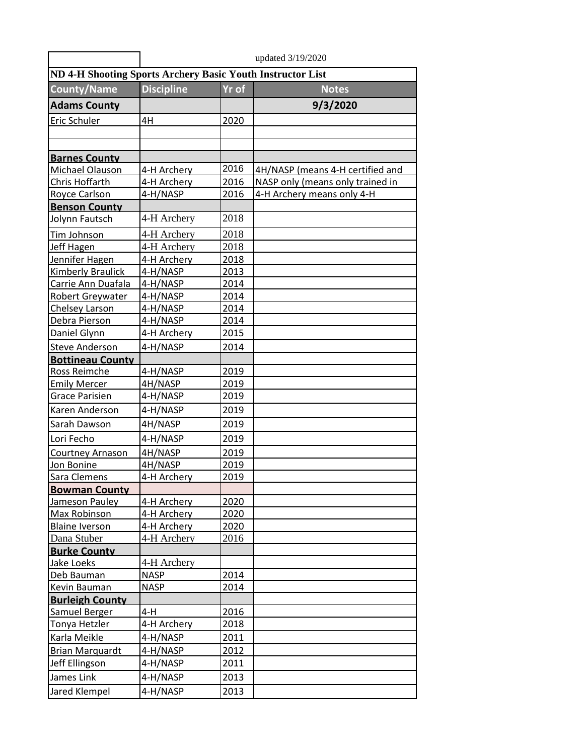|                                                            | updated 3/19/2020 |              |                                  |  |
|------------------------------------------------------------|-------------------|--------------|----------------------------------|--|
| ND 4-H Shooting Sports Archery Basic Youth Instructor List |                   |              |                                  |  |
| <b>County/Name</b>                                         | <b>Discipline</b> | <b>Yr of</b> | <b>Notes</b>                     |  |
| <b>Adams County</b>                                        |                   |              | 9/3/2020                         |  |
| Eric Schuler                                               | 4H                | 2020         |                                  |  |
|                                                            |                   |              |                                  |  |
|                                                            |                   |              |                                  |  |
| <b>Barnes County</b>                                       |                   |              |                                  |  |
| Michael Olauson                                            | 4-H Archery       | 2016         | 4H/NASP (means 4-H certified and |  |
| Chris Hoffarth                                             | 4-H Archery       | 2016         | NASP only (means only trained in |  |
| Royce Carlson                                              | 4-H/NASP          | 2016         | 4-H Archery means only 4-H       |  |
| <b>Benson County</b>                                       |                   |              |                                  |  |
| Jolynn Fautsch                                             | 4-H Archery       | 2018         |                                  |  |
| Tim Johnson                                                | 4-H Archery       | 2018         |                                  |  |
| Jeff Hagen                                                 | 4-H Archery       | 2018         |                                  |  |
| Jennifer Hagen                                             | 4-H Archery       | 2018         |                                  |  |
| <b>Kimberly Braulick</b>                                   | 4-H/NASP          | 2013         |                                  |  |
| Carrie Ann Duafala                                         | 4-H/NASP          | 2014         |                                  |  |
| <b>Robert Greywater</b>                                    | 4-H/NASP          | 2014         |                                  |  |
| Chelsey Larson                                             | 4-H/NASP          | 2014         |                                  |  |
| Debra Pierson                                              | 4-H/NASP          | 2014         |                                  |  |
| Daniel Glynn                                               | 4-H Archery       | 2015         |                                  |  |
| <b>Steve Anderson</b>                                      | 4-H/NASP          | 2014         |                                  |  |
| <b>Bottineau County</b>                                    |                   |              |                                  |  |
| Ross Reimche                                               | 4-H/NASP          | 2019         |                                  |  |
| <b>Emily Mercer</b>                                        | 4H/NASP           | 2019         |                                  |  |
| <b>Grace Parisien</b>                                      | 4-H/NASP          | 2019         |                                  |  |
| Karen Anderson                                             | 4-H/NASP          | 2019         |                                  |  |
| Sarah Dawson                                               | 4H/NASP           | 2019         |                                  |  |
| Lori Fecho                                                 | 4-H/NASP          | 2019         |                                  |  |
| Courtney Arnason                                           | 4H/NASP           | 2019         |                                  |  |
| Jon Bonine                                                 | 4H/NASP           | 2019         |                                  |  |
| Sara Clemens                                               | 4-H Archery       | 2019         |                                  |  |
| <b>Bowman County</b>                                       |                   |              |                                  |  |
| Jameson Pauley                                             | 4-H Archery       | 2020         |                                  |  |
| Max Robinson                                               | 4-H Archery       | 2020         |                                  |  |
| <b>Blaine Iverson</b>                                      | 4-H Archery       | 2020         |                                  |  |
| Dana Stuber                                                | 4-H Archery       | 2016         |                                  |  |
| <b>Burke County</b>                                        |                   |              |                                  |  |
| Jake Loeks                                                 | 4-H Archery       |              |                                  |  |
| Deb Bauman                                                 | <b>NASP</b>       | 2014         |                                  |  |
| Kevin Bauman                                               | <b>NASP</b>       | 2014         |                                  |  |
| <b>Burleigh County</b>                                     |                   |              |                                  |  |
| Samuel Berger                                              | $4-H$             | 2016         |                                  |  |
| Tonya Hetzler                                              | 4-H Archery       | 2018         |                                  |  |
| Karla Meikle                                               | 4-H/NASP          | 2011         |                                  |  |
| <b>Brian Marquardt</b>                                     | 4-H/NASP          | 2012         |                                  |  |
| Jeff Ellingson                                             | 4-H/NASP          | 2011         |                                  |  |
| James Link                                                 | 4-H/NASP          | 2013         |                                  |  |
| Jared Klempel                                              | 4-H/NASP          | 2013         |                                  |  |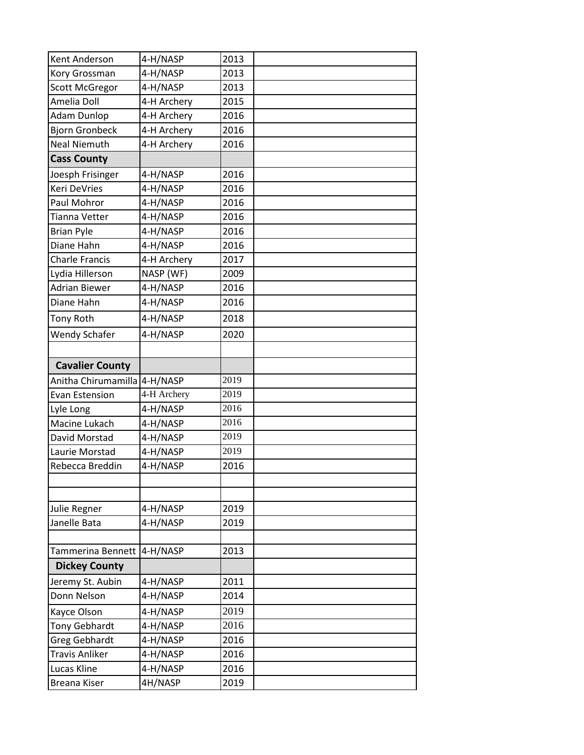| Kent Anderson                | 4-H/NASP    | 2013 |
|------------------------------|-------------|------|
| Kory Grossman                | 4-H/NASP    | 2013 |
| Scott McGregor               | 4-H/NASP    | 2013 |
| Amelia Doll                  | 4-H Archery | 2015 |
| <b>Adam Dunlop</b>           | 4-H Archery | 2016 |
| <b>Bjorn Gronbeck</b>        | 4-H Archery | 2016 |
| <b>Neal Niemuth</b>          | 4-H Archery | 2016 |
| <b>Cass County</b>           |             |      |
| Joesph Frisinger             | 4-H/NASP    | 2016 |
| Keri DeVries                 | 4-H/NASP    | 2016 |
| Paul Mohror                  | 4-H/NASP    | 2016 |
| Tianna Vetter                | 4-H/NASP    | 2016 |
| <b>Brian Pyle</b>            | 4-H/NASP    | 2016 |
| Diane Hahn                   | 4-H/NASP    | 2016 |
| <b>Charle Francis</b>        | 4-H Archery | 2017 |
| Lydia Hillerson              | NASP (WF)   | 2009 |
| <b>Adrian Biewer</b>         | 4-H/NASP    | 2016 |
| Diane Hahn                   | 4-H/NASP    | 2016 |
| Tony Roth                    | 4-H/NASP    | 2018 |
| <b>Wendy Schafer</b>         | 4-H/NASP    | 2020 |
|                              |             |      |
| <b>Cavalier County</b>       |             |      |
| Anitha Chirumamilla 4-H/NASP |             | 2019 |
| <b>Evan Estension</b>        | 4-H Archery | 2019 |
| Lyle Long                    | 4-H/NASP    | 2016 |
| Macine Lukach                | 4-H/NASP    | 2016 |
| David Morstad                | 4-H/NASP    | 2019 |
| Laurie Morstad               | 4-H/NASP    | 2019 |
| Rebecca Breddin              | 4-H/NASP    | 2016 |
|                              |             |      |
|                              |             |      |
| Julie Regner                 | 4-H/NASP    | 2019 |
| Janelle Bata                 | 4-H/NASP    | 2019 |
|                              |             |      |
| Tammerina Bennett            | 4-H/NASP    | 2013 |
| <b>Dickey County</b>         |             |      |
| Jeremy St. Aubin             | 4-H/NASP    | 2011 |
| Donn Nelson                  | 4-H/NASP    | 2014 |
| Kayce Olson                  | 4-H/NASP    | 2019 |
| <b>Tony Gebhardt</b>         | 4-H/NASP    | 2016 |
| <b>Greg Gebhardt</b>         |             | 2016 |
|                              | 4-H/NASP    |      |
| Travis Anliker               | 4-H/NASP    | 2016 |
| Lucas Kline                  | 4-H/NASP    | 2016 |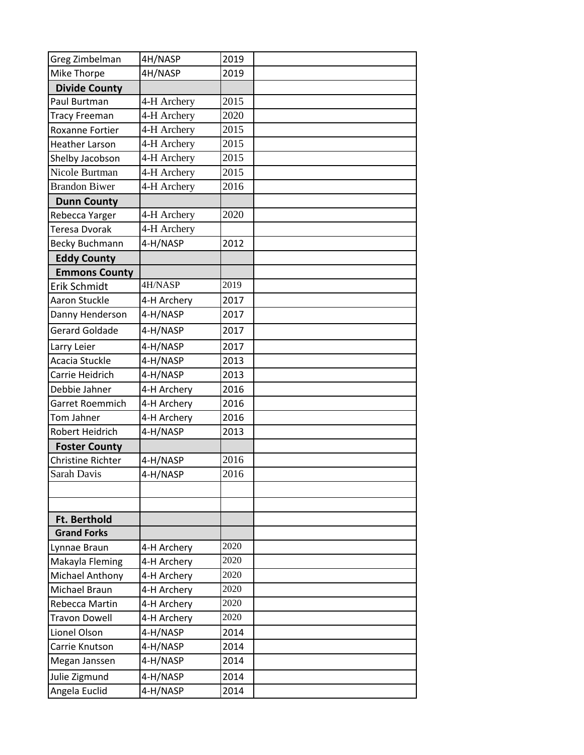| Greg Zimbelman         | 4H/NASP     | 2019 |  |
|------------------------|-------------|------|--|
| Mike Thorpe            | 4H/NASP     | 2019 |  |
| <b>Divide County</b>   |             |      |  |
| Paul Burtman           | 4-H Archery | 2015 |  |
| <b>Tracy Freeman</b>   | 4-H Archery | 2020 |  |
| <b>Roxanne Fortier</b> | 4-H Archery | 2015 |  |
| <b>Heather Larson</b>  | 4-H Archery | 2015 |  |
| Shelby Jacobson        | 4-H Archery | 2015 |  |
| Nicole Burtman         | 4-H Archery | 2015 |  |
| <b>Brandon Biwer</b>   | 4-H Archery | 2016 |  |
| <b>Dunn County</b>     |             |      |  |
| Rebecca Yarger         | 4-H Archery | 2020 |  |
| Teresa Dvorak          | 4-H Archery |      |  |
| <b>Becky Buchmann</b>  | 4-H/NASP    | 2012 |  |
| <b>Eddy County</b>     |             |      |  |
| <b>Emmons County</b>   |             |      |  |
| Erik Schmidt           | 4H/NASP     | 2019 |  |
| Aaron Stuckle          | 4-H Archery | 2017 |  |
| Danny Henderson        | 4-H/NASP    | 2017 |  |
| <b>Gerard Goldade</b>  | 4-H/NASP    | 2017 |  |
| Larry Leier            | 4-H/NASP    | 2017 |  |
| Acacia Stuckle         | 4-H/NASP    | 2013 |  |
| Carrie Heidrich        | 4-H/NASP    | 2013 |  |
| Debbie Jahner          | 4-H Archery | 2016 |  |
| Garret Roemmich        | 4-H Archery | 2016 |  |
| Tom Jahner             | 4-H Archery | 2016 |  |
| Robert Heidrich        | 4-H/NASP    | 2013 |  |
| <b>Foster County</b>   |             |      |  |
| Christine Richter      | 4-H/NASP    | 2016 |  |
| Sarah Davis            | 4-H/NASP    | 2016 |  |
|                        |             |      |  |
|                        |             |      |  |
| Ft. Berthold           |             |      |  |
| <b>Grand Forks</b>     |             |      |  |
| Lynnae Braun           | 4-H Archery | 2020 |  |
| Makayla Fleming        | 4-H Archery | 2020 |  |
| Michael Anthony        | 4-H Archery | 2020 |  |
| Michael Braun          | 4-H Archery | 2020 |  |
| Rebecca Martin         | 4-H Archery | 2020 |  |
| <b>Travon Dowell</b>   | 4-H Archery | 2020 |  |
| Lionel Olson           | 4-H/NASP    | 2014 |  |
| Carrie Knutson         | 4-H/NASP    | 2014 |  |
| Megan Janssen          | 4-H/NASP    | 2014 |  |
| Julie Zigmund          | 4-H/NASP    | 2014 |  |
| Angela Euclid          | 4-H/NASP    | 2014 |  |
|                        |             |      |  |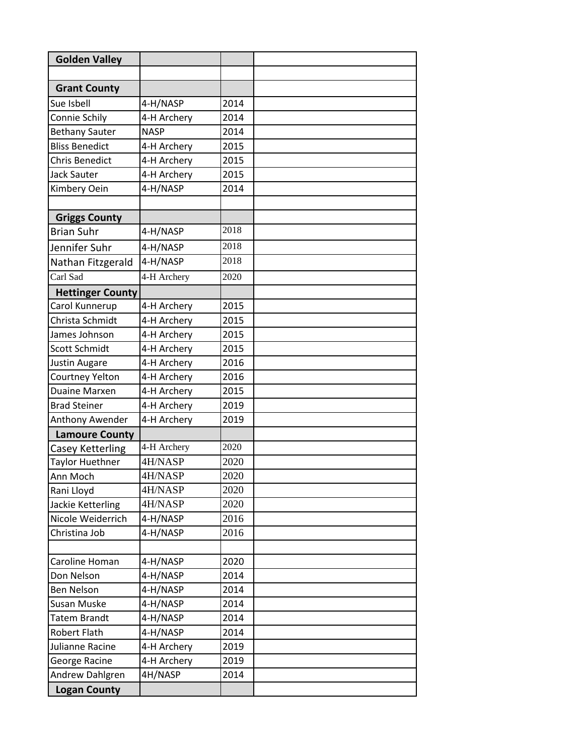| <b>Golden Valley</b>    |             |      |  |
|-------------------------|-------------|------|--|
|                         |             |      |  |
| <b>Grant County</b>     |             |      |  |
| Sue Isbell              | 4-H/NASP    | 2014 |  |
| Connie Schily           | 4-H Archery | 2014 |  |
| <b>Bethany Sauter</b>   | <b>NASP</b> | 2014 |  |
| <b>Bliss Benedict</b>   | 4-H Archery | 2015 |  |
| <b>Chris Benedict</b>   | 4-H Archery | 2015 |  |
|                         |             |      |  |
| <b>Jack Sauter</b>      | 4-H Archery | 2015 |  |
| Kimbery Oein            | 4-H/NASP    | 2014 |  |
| <b>Griggs County</b>    |             |      |  |
| <b>Brian Suhr</b>       | 4-H/NASP    | 2018 |  |
| Jennifer Suhr           | 4-H/NASP    | 2018 |  |
| Nathan Fitzgerald       | 4-H/NASP    | 2018 |  |
|                         |             |      |  |
| Carl Sad                | 4-H Archery | 2020 |  |
| <b>Hettinger County</b> |             |      |  |
| Carol Kunnerup          | 4-H Archery | 2015 |  |
| Christa Schmidt         | 4-H Archery | 2015 |  |
| James Johnson           | 4-H Archery | 2015 |  |
| <b>Scott Schmidt</b>    | 4-H Archery | 2015 |  |
| <b>Justin Augare</b>    | 4-H Archery | 2016 |  |
| Courtney Yelton         | 4-H Archery | 2016 |  |
| Duaine Marxen           | 4-H Archery | 2015 |  |
| <b>Brad Steiner</b>     | 4-H Archery | 2019 |  |
| Anthony Awender         | 4-H Archery | 2019 |  |
| <b>Lamoure County</b>   |             |      |  |
| Casey Ketterling        | 4-H Archery | 2020 |  |
| Taylor Huethner         | 4H/NASP     | 2020 |  |
| Ann Moch                | 4H/NASP     | 2020 |  |
| Rani Lloyd              | 4H/NASP     | 2020 |  |
| Jackie Ketterling       | 4H/NASP     | 2020 |  |
| Nicole Weiderrich       | 4-H/NASP    | 2016 |  |
| Christina Job           | 4-H/NASP    | 2016 |  |
|                         |             |      |  |
| Caroline Homan          | 4-H/NASP    | 2020 |  |
| Don Nelson              | 4-H/NASP    | 2014 |  |
| Ben Nelson              | 4-H/NASP    | 2014 |  |
| Susan Muske             | 4-H/NASP    | 2014 |  |
| Tatem Brandt            | 4-H/NASP    | 2014 |  |
| <b>Robert Flath</b>     | 4-H/NASP    | 2014 |  |
| Julianne Racine         | 4-H Archery | 2019 |  |
| George Racine           | 4-H Archery | 2019 |  |
| Andrew Dahlgren         | 4H/NASP     | 2014 |  |
|                         |             |      |  |
| <b>Logan County</b>     |             |      |  |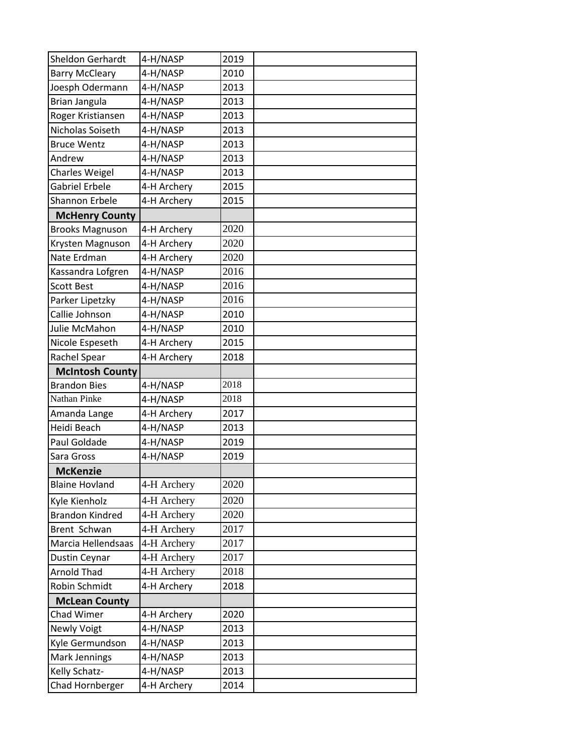| Sheldon Gerhardt       | 4-H/NASP    | 2019 |  |
|------------------------|-------------|------|--|
| <b>Barry McCleary</b>  | 4-H/NASP    | 2010 |  |
| Joesph Odermann        | 4-H/NASP    | 2013 |  |
| <b>Brian Jangula</b>   | 4-H/NASP    | 2013 |  |
| Roger Kristiansen      | 4-H/NASP    | 2013 |  |
| Nicholas Soiseth       | 4-H/NASP    | 2013 |  |
| <b>Bruce Wentz</b>     | 4-H/NASP    | 2013 |  |
| Andrew                 | 4-H/NASP    | 2013 |  |
| <b>Charles Weigel</b>  | 4-H/NASP    | 2013 |  |
| Gabriel Erbele         | 4-H Archery | 2015 |  |
| Shannon Erbele         | 4-H Archery | 2015 |  |
| <b>McHenry County</b>  |             |      |  |
| <b>Brooks Magnuson</b> | 4-H Archery | 2020 |  |
| Krysten Magnuson       | 4-H Archery | 2020 |  |
| Nate Erdman            | 4-H Archery | 2020 |  |
| Kassandra Lofgren      | 4-H/NASP    | 2016 |  |
| <b>Scott Best</b>      | 4-H/NASP    | 2016 |  |
| Parker Lipetzky        | 4-H/NASP    | 2016 |  |
| Callie Johnson         | 4-H/NASP    | 2010 |  |
| Julie McMahon          | 4-H/NASP    | 2010 |  |
| Nicole Espeseth        | 4-H Archery | 2015 |  |
| Rachel Spear           | 4-H Archery | 2018 |  |
| <b>McIntosh County</b> |             |      |  |
| <b>Brandon Bies</b>    | 4-H/NASP    | 2018 |  |
| Nathan Pinke           | 4-H/NASP    | 2018 |  |
| Amanda Lange           | 4-H Archery | 2017 |  |
| Heidi Beach            | 4-H/NASP    | 2013 |  |
| Paul Goldade           | 4-H/NASP    | 2019 |  |
| Sara Gross             | 4-H/NASP    | 2019 |  |
| <b>McKenzie</b>        |             |      |  |
| <b>Blaine Hovland</b>  | 4-H Archery | 2020 |  |
| Kyle Kienholz          | 4-H Archery | 2020 |  |
| <b>Brandon Kindred</b> | 4-H Archery | 2020 |  |
| Brent Schwan           | 4-H Archery | 2017 |  |
| Marcia Hellendsaas     | 4-H Archery | 2017 |  |
| Dustin Ceynar          | 4-H Archery | 2017 |  |
| <b>Arnold Thad</b>     | 4-H Archery | 2018 |  |
| Robin Schmidt          | 4-H Archery | 2018 |  |
| <b>McLean County</b>   |             |      |  |
| Chad Wimer             | 4-H Archery | 2020 |  |
| <b>Newly Voigt</b>     | 4-H/NASP    | 2013 |  |
| Kyle Germundson        | 4-H/NASP    | 2013 |  |
| Mark Jennings          | 4-H/NASP    | 2013 |  |
| Kelly Schatz-          | 4-H/NASP    | 2013 |  |
| Chad Hornberger        | 4-H Archery | 2014 |  |
|                        |             |      |  |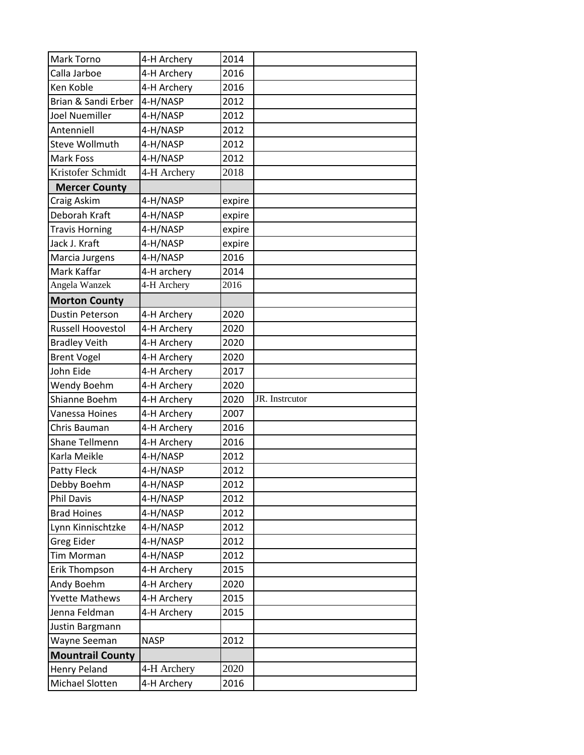| Mark Torno               | 4-H Archery | 2014   |                |
|--------------------------|-------------|--------|----------------|
| Calla Jarboe             | 4-H Archery | 2016   |                |
| Ken Koble                | 4-H Archery | 2016   |                |
| Brian & Sandi Erber      | 4-H/NASP    | 2012   |                |
| Joel Nuemiller           | 4-H/NASP    | 2012   |                |
| Antenniell               | 4-H/NASP    | 2012   |                |
| <b>Steve Wollmuth</b>    | 4-H/NASP    | 2012   |                |
| Mark Foss                | 4-H/NASP    | 2012   |                |
| Kristofer Schmidt        | 4-H Archery | 2018   |                |
| <b>Mercer County</b>     |             |        |                |
| Craig Askim              | 4-H/NASP    | expire |                |
| Deborah Kraft            | 4-H/NASP    | expire |                |
| <b>Travis Horning</b>    | 4-H/NASP    | expire |                |
| Jack J. Kraft            | 4-H/NASP    | expire |                |
| Marcia Jurgens           | 4-H/NASP    | 2016   |                |
| Mark Kaffar              | 4-H archery | 2014   |                |
| Angela Wanzek            | 4-H Archery | 2016   |                |
| <b>Morton County</b>     |             |        |                |
| <b>Dustin Peterson</b>   | 4-H Archery | 2020   |                |
| <b>Russell Hoovestol</b> | 4-H Archery | 2020   |                |
| <b>Bradley Veith</b>     | 4-H Archery | 2020   |                |
| <b>Brent Vogel</b>       | 4-H Archery | 2020   |                |
| John Eide                | 4-H Archery | 2017   |                |
| Wendy Boehm              | 4-H Archery | 2020   |                |
| Shianne Boehm            | 4-H Archery | 2020   | JR. Instrcutor |
| Vanessa Hoines           | 4-H Archery | 2007   |                |
| Chris Bauman             | 4-H Archery | 2016   |                |
| Shane Tellmenn           | 4-H Archery | 2016   |                |
| Karla Meikle             | 4-H/NASP    | 2012   |                |
| Patty Fleck              | 4-H/NASP    | 2012   |                |
| Debby Boehm              | 4-H/NASP    | 2012   |                |
| Phil Davis               | 4-H/NASP    | 2012   |                |
| <b>Brad Hoines</b>       | 4-H/NASP    | 2012   |                |
| Lynn Kinnischtzke        | 4-H/NASP    | 2012   |                |
| Greg Eider               | 4-H/NASP    | 2012   |                |
| <b>Tim Morman</b>        | 4-H/NASP    | 2012   |                |
| Erik Thompson            | 4-H Archery | 2015   |                |
| Andy Boehm               | 4-H Archery | 2020   |                |
| <b>Yvette Mathews</b>    | 4-H Archery | 2015   |                |
| Jenna Feldman            | 4-H Archery | 2015   |                |
| Justin Bargmann          |             |        |                |
| Wayne Seeman             | <b>NASP</b> | 2012   |                |
| <b>Mountrail County</b>  |             |        |                |
| <b>Henry Peland</b>      | 4-H Archery | 2020   |                |
| Michael Slotten          | 4-H Archery | 2016   |                |
|                          |             |        |                |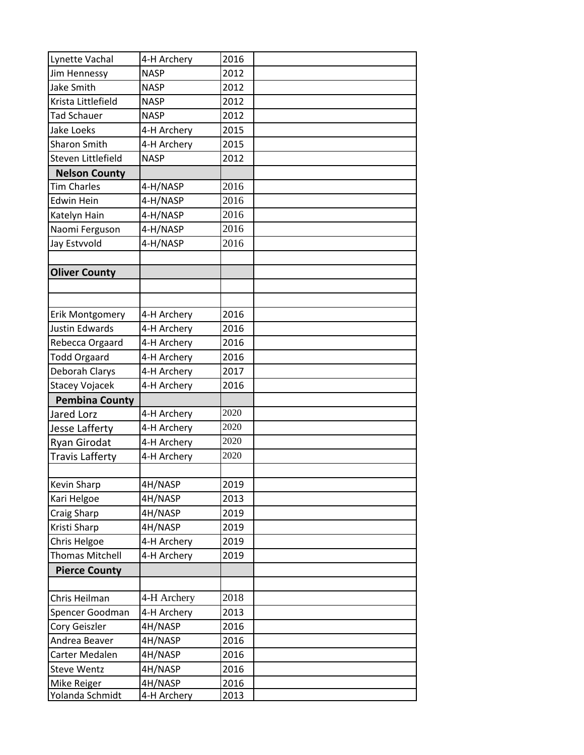| Lynette Vachal        | 4-H Archery | 2016 |  |
|-----------------------|-------------|------|--|
| Jim Hennessy          | <b>NASP</b> | 2012 |  |
| Jake Smith            | <b>NASP</b> | 2012 |  |
| Krista Littlefield    | <b>NASP</b> | 2012 |  |
| <b>Tad Schauer</b>    | <b>NASP</b> | 2012 |  |
| <b>Jake Loeks</b>     | 4-H Archery | 2015 |  |
| <b>Sharon Smith</b>   | 4-H Archery | 2015 |  |
| Steven Littlefield    | <b>NASP</b> | 2012 |  |
| <b>Nelson County</b>  |             |      |  |
| <b>Tim Charles</b>    | 4-H/NASP    | 2016 |  |
| <b>Edwin Hein</b>     | 4-H/NASP    | 2016 |  |
| Katelyn Hain          | 4-H/NASP    | 2016 |  |
| Naomi Ferguson        | 4-H/NASP    | 2016 |  |
| Jay Estvvold          | 4-H/NASP    | 2016 |  |
|                       |             |      |  |
| <b>Oliver County</b>  |             |      |  |
|                       |             |      |  |
|                       |             |      |  |
| Erik Montgomery       | 4-H Archery | 2016 |  |
| Justin Edwards        | 4-H Archery | 2016 |  |
| Rebecca Orgaard       | 4-H Archery | 2016 |  |
| <b>Todd Orgaard</b>   | 4-H Archery | 2016 |  |
| Deborah Clarys        | 4-H Archery | 2017 |  |
| <b>Stacey Vojacek</b> | 4-H Archery | 2016 |  |
| <b>Pembina County</b> |             |      |  |
| Jared Lorz            | 4-H Archery | 2020 |  |
| Jesse Lafferty        | 4-H Archery | 2020 |  |
| Ryan Girodat          | 4-H Archery | 2020 |  |
| Travis Lafferty       | 4-H Archery | 2020 |  |
|                       |             |      |  |
| Kevin Sharp           | 4H/NASP     | 2019 |  |
| Kari Helgoe           | 4H/NASP     | 2013 |  |
| Craig Sharp           | 4H/NASP     | 2019 |  |
| Kristi Sharp          | 4H/NASP     | 2019 |  |
| Chris Helgoe          | 4-H Archery | 2019 |  |
| Thomas Mitchell       | 4-H Archery | 2019 |  |
| <b>Pierce County</b>  |             |      |  |
|                       |             |      |  |
| Chris Heilman         | 4-H Archery | 2018 |  |
| Spencer Goodman       | 4-H Archery | 2013 |  |
| Cory Geiszler         | 4H/NASP     | 2016 |  |
| Andrea Beaver         | 4H/NASP     | 2016 |  |
| Carter Medalen        | 4H/NASP     | 2016 |  |
| <b>Steve Wentz</b>    | 4H/NASP     | 2016 |  |
| Mike Reiger           | 4H/NASP     | 2016 |  |
| Yolanda Schmidt       | 4-H Archery | 2013 |  |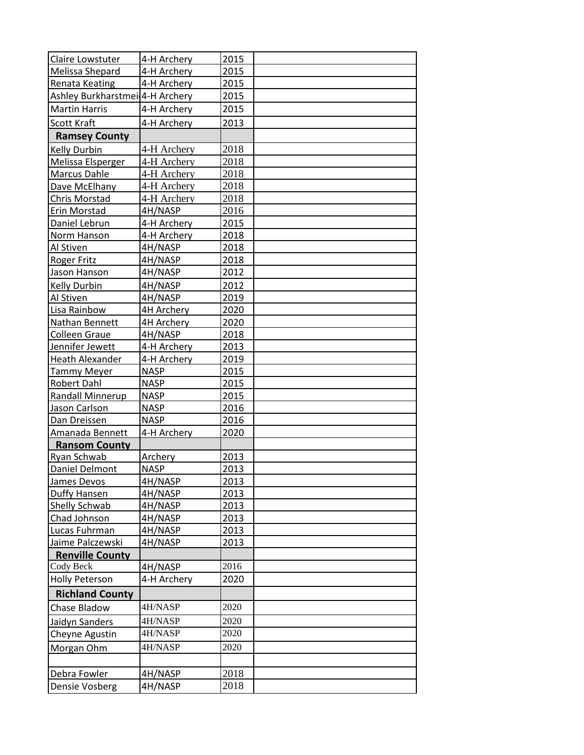| Claire Lowstuter                            | 4-H Archery       | 2015 |  |
|---------------------------------------------|-------------------|------|--|
| Melissa Shepard                             | 4-H Archery       | 2015 |  |
| Renata Keating                              | 4-H Archery       | 2015 |  |
| Ashley Burkharstmei <sup>[4-H</sup> Archery |                   | 2015 |  |
| <b>Martin Harris</b>                        | 4-H Archery       | 2015 |  |
| Scott Kraft                                 | 4-H Archery       | 2013 |  |
| <b>Ramsey County</b>                        |                   |      |  |
| Kelly Durbin                                | 4-H Archery       | 2018 |  |
| Melissa Elsperger                           | 4-H Archery       | 2018 |  |
| Marcus Dahle                                | 4-H Archery       | 2018 |  |
| Dave McElhany                               | 4-H Archery       | 2018 |  |
| Chris Morstad                               | 4-H Archery       | 2018 |  |
| Erin Morstad                                | 4H/NASP           | 2016 |  |
| Daniel Lebrun                               | 4-H Archery       | 2015 |  |
| Norm Hanson                                 | 4-H Archery       | 2018 |  |
| Al Stiven                                   | 4H/NASP           | 2018 |  |
| <b>Roger Fritz</b>                          | 4H/NASP           | 2018 |  |
| Jason Hanson                                | 4H/NASP           | 2012 |  |
| Kelly Durbin                                | 4H/NASP           | 2012 |  |
| Al Stiven                                   | 4H/NASP           | 2019 |  |
| Lisa Rainbow                                | <b>4H Archery</b> | 2020 |  |
| Nathan Bennett                              | 4H Archery        | 2020 |  |
| <b>Colleen Graue</b>                        | 4H/NASP           | 2018 |  |
| Jennifer Jewett                             | 4-H Archery       | 2013 |  |
| <b>Heath Alexander</b>                      | 4-H Archery       | 2019 |  |
| <b>Tammy Meyer</b>                          | <b>NASP</b>       | 2015 |  |
| Robert Dahl                                 | <b>NASP</b>       | 2015 |  |
| <b>Randall Minnerup</b>                     | <b>NASP</b>       | 2015 |  |
| Jason Carlson                               | <b>NASP</b>       | 2016 |  |
| Dan Dreissen                                | <b>NASP</b>       | 2016 |  |
| Amanada Bennett                             | 4-H Archery       | 2020 |  |
| <b>Ransom County</b>                        |                   |      |  |
| Ryan Schwab                                 | Archery           | 2013 |  |
| Daniel Delmont                              | <b>NASP</b>       | 2013 |  |
| James Devos                                 | 4H/NASP           | 2013 |  |
| Duffy Hansen                                | 4H/NASP           | 2013 |  |
| Shelly Schwab                               | 4H/NASP           | 2013 |  |
| Chad Johnson                                | 4H/NASP           | 2013 |  |
| Lucas Fuhrman                               | 4H/NASP           | 2013 |  |
| Jaime Palczewski                            | 4H/NASP           | 2013 |  |
| <b>Renville County</b>                      |                   |      |  |
| Cody Beck                                   | 4H/NASP           | 2016 |  |
| <b>Holly Peterson</b>                       | 4-H Archery       | 2020 |  |
| <b>Richland County</b>                      |                   |      |  |
| Chase Bladow                                | 4H/NASP           | 2020 |  |
| Jaidyn Sanders                              | 4H/NASP           | 2020 |  |
| Cheyne Agustin                              | 4H/NASP           | 2020 |  |
|                                             |                   |      |  |
| Morgan Ohm                                  | 4H/NASP           | 2020 |  |
|                                             |                   |      |  |
| Debra Fowler                                | 4H/NASP           | 2018 |  |
| Densie Vosberg                              | 4H/NASP           | 2018 |  |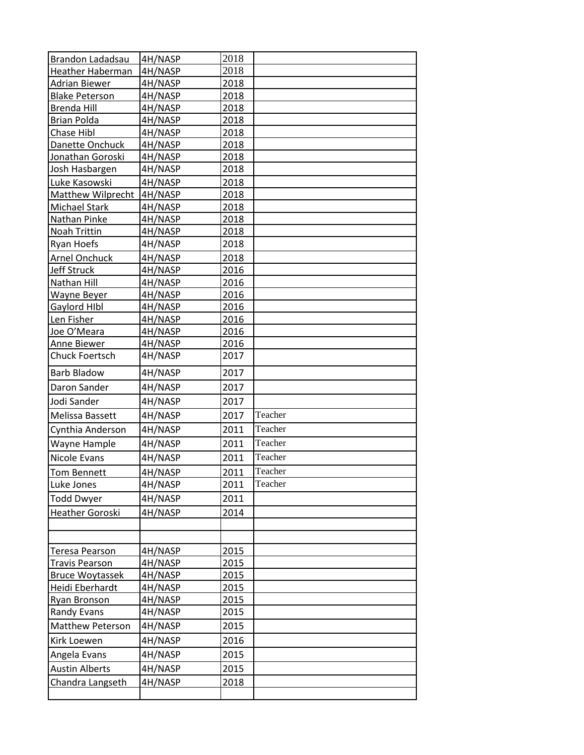| Brandon Ladadsau         | 4H/NASP | 2018 |         |
|--------------------------|---------|------|---------|
| Heather Haberman         | 4H/NASP | 2018 |         |
| <b>Adrian Biewer</b>     | 4H/NASP | 2018 |         |
| <b>Blake Peterson</b>    | 4H/NASP | 2018 |         |
| Brenda Hill              | 4H/NASP | 2018 |         |
| <b>Brian Polda</b>       | 4H/NASP | 2018 |         |
| Chase Hibl               | 4H/NASP | 2018 |         |
| Danette Onchuck          | 4H/NASP | 2018 |         |
| Jonathan Goroski         | 4H/NASP | 2018 |         |
| Josh Hasbargen           | 4H/NASP | 2018 |         |
| Luke Kasowski            | 4H/NASP | 2018 |         |
| <b>Matthew Wilprecht</b> | 4H/NASP | 2018 |         |
| Michael Stark            | 4H/NASP | 2018 |         |
| Nathan Pinke             | 4H/NASP | 2018 |         |
| Noah Trittin             | 4H/NASP | 2018 |         |
| Ryan Hoefs               | 4H/NASP | 2018 |         |
| <b>Arnel Onchuck</b>     | 4H/NASP | 2018 |         |
| Jeff Struck              | 4H/NASP | 2016 |         |
| Nathan Hill              | 4H/NASP | 2016 |         |
| Wayne Beyer              | 4H/NASP | 2016 |         |
| Gaylord HIbl             | 4H/NASP | 2016 |         |
| Len Fisher               | 4H/NASP | 2016 |         |
| Joe O'Meara              | 4H/NASP | 2016 |         |
| Anne Biewer              | 4H/NASP | 2016 |         |
| <b>Chuck Foertsch</b>    | 4H/NASP | 2017 |         |
| <b>Barb Bladow</b>       | 4H/NASP | 2017 |         |
| Daron Sander             | 4H/NASP | 2017 |         |
| Jodi Sander              | 4H/NASP | 2017 |         |
| Melissa Bassett          | 4H/NASP | 2017 | Teacher |
| Cynthia Anderson         | 4H/NASP | 2011 | Teacher |
| Wayne Hample             | 4H/NASP | 2011 | Teacher |
| Nicole Evans             | 4H/NASP | 2011 | Teacher |
| <b>Tom Bennett</b>       | 4H/NASP | 2011 | Teacher |
| Luke Jones               | 4H/NASP | 2011 | Teacher |
| <b>Todd Dwyer</b>        | 4H/NASP | 2011 |         |
| Heather Goroski          | 4H/NASP | 2014 |         |
|                          |         |      |         |
|                          |         |      |         |
| Teresa Pearson           | 4H/NASP | 2015 |         |
| <b>Travis Pearson</b>    | 4H/NASP | 2015 |         |
| <b>Bruce Woytassek</b>   | 4H/NASP | 2015 |         |
| Heidi Eberhardt          | 4H/NASP | 2015 |         |
| Ryan Bronson             | 4H/NASP | 2015 |         |
| <b>Randy Evans</b>       | 4H/NASP | 2015 |         |
| <b>Matthew Peterson</b>  | 4H/NASP | 2015 |         |
| Kirk Loewen              | 4H/NASP | 2016 |         |
| Angela Evans             | 4H/NASP | 2015 |         |
| <b>Austin Alberts</b>    | 4H/NASP | 2015 |         |
| Chandra Langseth         | 4H/NASP | 2018 |         |
|                          |         |      |         |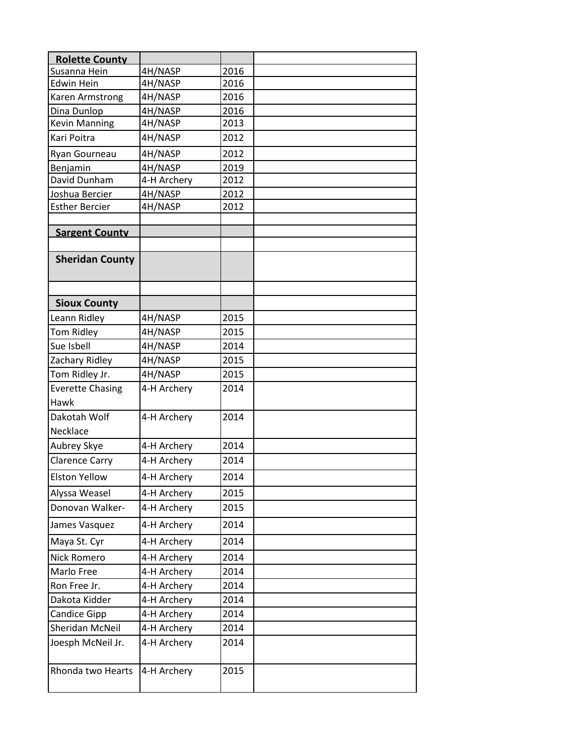| <b>Rolette County</b>   |             |      |  |
|-------------------------|-------------|------|--|
| Susanna Hein            | 4H/NASP     | 2016 |  |
| <b>Edwin Hein</b>       | 4H/NASP     | 2016 |  |
| Karen Armstrong         | 4H/NASP     | 2016 |  |
| Dina Dunlop             | 4H/NASP     | 2016 |  |
| <b>Kevin Manning</b>    | 4H/NASP     | 2013 |  |
| Kari Poitra             | 4H/NASP     | 2012 |  |
| Ryan Gourneau           | 4H/NASP     | 2012 |  |
| Benjamin                | 4H/NASP     | 2019 |  |
| David Dunham            | 4-H Archery | 2012 |  |
| Joshua Bercier          | 4H/NASP     | 2012 |  |
| <b>Esther Bercier</b>   | 4H/NASP     | 2012 |  |
| <b>Sargent County</b>   |             |      |  |
|                         |             |      |  |
| <b>Sheridan County</b>  |             |      |  |
|                         |             |      |  |
|                         |             |      |  |
| <b>Sioux County</b>     |             |      |  |
| Leann Ridley            | 4H/NASP     | 2015 |  |
| Tom Ridley              | 4H/NASP     | 2015 |  |
| Sue Isbell              | 4H/NASP     | 2014 |  |
| Zachary Ridley          | 4H/NASP     | 2015 |  |
| Tom Ridley Jr.          | 4H/NASP     | 2015 |  |
| <b>Everette Chasing</b> | 4-H Archery | 2014 |  |
| <b>Hawk</b>             |             |      |  |
| Dakotah Wolf            | 4-H Archery | 2014 |  |
| Necklace                |             |      |  |
| Aubrey Skye             | 4-H Archery | 2014 |  |
| <b>Clarence Carry</b>   | 4-H Archery | 2014 |  |
| <b>Elston Yellow</b>    | 4-H Archery | 2014 |  |
| Alyssa Weasel           | 4-H Archery | 2015 |  |
| Donovan Walker-         | 4-H Archery | 2015 |  |
| James Vasquez           | 4-H Archery | 2014 |  |
| Maya St. Cyr            | 4-H Archery | 2014 |  |
| <b>Nick Romero</b>      | 4-H Archery | 2014 |  |
| Marlo Free              | 4-H Archery | 2014 |  |
| Ron Free Jr.            | 4-H Archery | 2014 |  |
| Dakota Kidder           | 4-H Archery | 2014 |  |
| Candice Gipp            | 4-H Archery | 2014 |  |
| Sheridan McNeil         | 4-H Archery | 2014 |  |
| Joesph McNeil Jr.       | 4-H Archery | 2014 |  |
|                         |             |      |  |
| Rhonda two Hearts       | 4-H Archery | 2015 |  |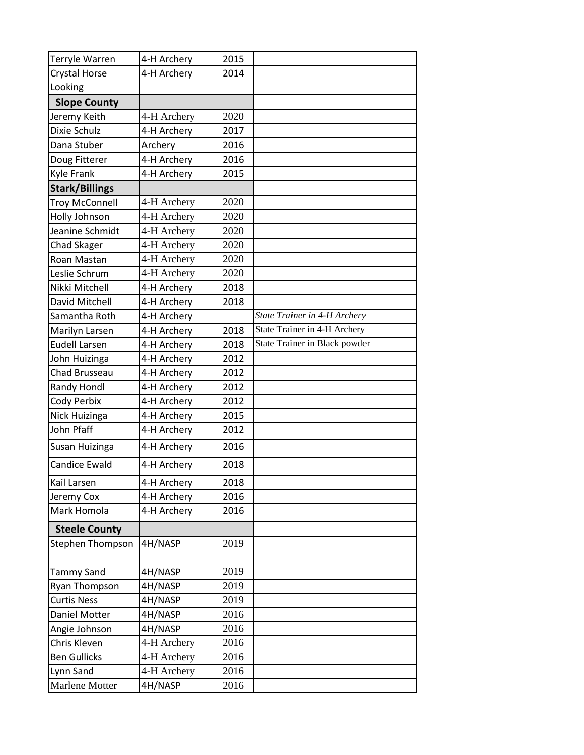| Terryle Warren        | 4-H Archery | 2015 |                               |
|-----------------------|-------------|------|-------------------------------|
| Crystal Horse         | 4-H Archery | 2014 |                               |
| Looking               |             |      |                               |
| <b>Slope County</b>   |             |      |                               |
| Jeremy Keith          | 4-H Archery | 2020 |                               |
| Dixie Schulz          | 4-H Archery | 2017 |                               |
| Dana Stuber           | Archery     | 2016 |                               |
| Doug Fitterer         | 4-H Archery | 2016 |                               |
| <b>Kyle Frank</b>     | 4-H Archery | 2015 |                               |
| <b>Stark/Billings</b> |             |      |                               |
| <b>Troy McConnell</b> | 4-H Archery | 2020 |                               |
| Holly Johnson         | 4-H Archery | 2020 |                               |
| Jeanine Schmidt       | 4-H Archery | 2020 |                               |
| <b>Chad Skager</b>    | 4-H Archery | 2020 |                               |
| Roan Mastan           | 4-H Archery | 2020 |                               |
| Leslie Schrum         | 4-H Archery | 2020 |                               |
| Nikki Mitchell        | 4-H Archery | 2018 |                               |
| David Mitchell        | 4-H Archery | 2018 |                               |
| Samantha Roth         | 4-H Archery |      | State Trainer in 4-H Archery  |
| Marilyn Larsen        | 4-H Archery | 2018 | State Trainer in 4-H Archery  |
| <b>Eudell Larsen</b>  | 4-H Archery | 2018 | State Trainer in Black powder |
| John Huizinga         | 4-H Archery | 2012 |                               |
| Chad Brusseau         | 4-H Archery | 2012 |                               |
| Randy Hondl           | 4-H Archery | 2012 |                               |
| Cody Perbix           | 4-H Archery | 2012 |                               |
| Nick Huizinga         | 4-H Archery | 2015 |                               |
| John Pfaff            | 4-H Archery | 2012 |                               |
| Susan Huizinga        | 4-H Archery | 2016 |                               |
| <b>Candice Ewald</b>  | 4-H Archery | 2018 |                               |
| Kail Larsen           | 4-H Archery | 2018 |                               |
| Jeremy Cox            | 4-H Archery | 2016 |                               |
| Mark Homola           | 4-H Archery | 2016 |                               |
| <b>Steele County</b>  |             |      |                               |
| Stephen Thompson      | 4H/NASP     | 2019 |                               |
|                       |             |      |                               |
| <b>Tammy Sand</b>     | 4H/NASP     | 2019 |                               |
| Ryan Thompson         | 4H/NASP     | 2019 |                               |
| <b>Curtis Ness</b>    | 4H/NASP     | 2019 |                               |
| Daniel Motter         | 4H/NASP     | 2016 |                               |
| Angie Johnson         | 4H/NASP     | 2016 |                               |
| Chris Kleven          | 4-H Archery | 2016 |                               |
| <b>Ben Gullicks</b>   | 4-H Archery | 2016 |                               |
| Lynn Sand             | 4-H Archery | 2016 |                               |
| Marlene Motter        | 4H/NASP     | 2016 |                               |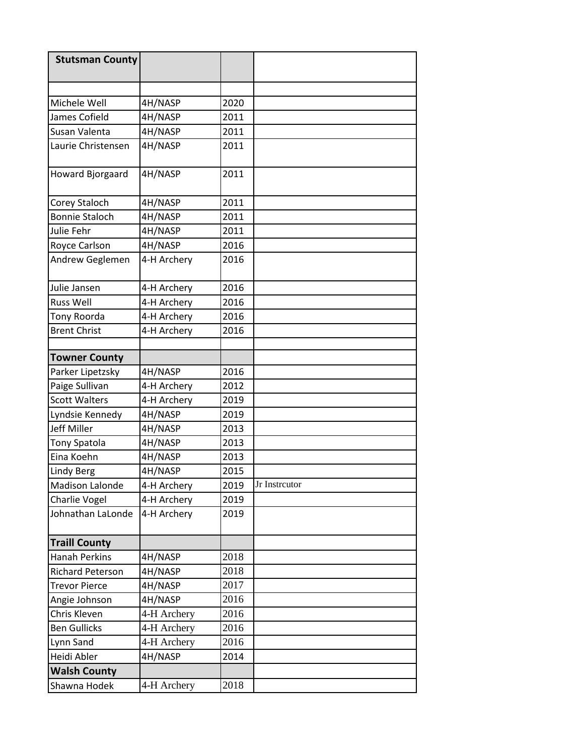| <b>Stutsman County</b>  |             |      |               |
|-------------------------|-------------|------|---------------|
|                         |             |      |               |
|                         |             |      |               |
| Michele Well            | 4H/NASP     | 2020 |               |
| James Cofield           | 4H/NASP     | 2011 |               |
| Susan Valenta           | 4H/NASP     | 2011 |               |
| Laurie Christensen      | 4H/NASP     | 2011 |               |
| Howard Bjorgaard        | 4H/NASP     | 2011 |               |
| Corey Staloch           | 4H/NASP     | 2011 |               |
| <b>Bonnie Staloch</b>   | 4H/NASP     | 2011 |               |
| Julie Fehr              | 4H/NASP     | 2011 |               |
| Royce Carlson           | 4H/NASP     | 2016 |               |
| Andrew Geglemen         | 4-H Archery | 2016 |               |
| Julie Jansen            | 4-H Archery | 2016 |               |
| <b>Russ Well</b>        | 4-H Archery | 2016 |               |
| Tony Roorda             | 4-H Archery | 2016 |               |
| <b>Brent Christ</b>     | 4-H Archery | 2016 |               |
|                         |             |      |               |
| <b>Towner County</b>    |             |      |               |
| Parker Lipetzsky        | 4H/NASP     | 2016 |               |
| Paige Sullivan          | 4-H Archery | 2012 |               |
| <b>Scott Walters</b>    | 4-H Archery | 2019 |               |
| Lyndsie Kennedy         | 4H/NASP     | 2019 |               |
| Jeff Miller             | 4H/NASP     | 2013 |               |
| <b>Tony Spatola</b>     | 4H/NASP     | 2013 |               |
| Eina Koehn              | 4H/NASP     | 2013 |               |
| <b>Lindy Berg</b>       | 4H/NASP     | 2015 |               |
| Madison Lalonde         | 4-H Archery | 2019 | Jr Instrcutor |
| Charlie Vogel           | 4-H Archery | 2019 |               |
| Johnathan LaLonde       | 4-H Archery | 2019 |               |
| <b>Traill County</b>    |             |      |               |
| <b>Hanah Perkins</b>    | 4H/NASP     | 2018 |               |
| <b>Richard Peterson</b> | 4H/NASP     | 2018 |               |
| <b>Trevor Pierce</b>    | 4H/NASP     | 2017 |               |
| Angie Johnson           | 4H/NASP     | 2016 |               |
| Chris Kleven            | 4-H Archery | 2016 |               |
| <b>Ben Gullicks</b>     | 4-H Archery | 2016 |               |
| Lynn Sand               | 4-H Archery | 2016 |               |
| Heidi Abler             | 4H/NASP     | 2014 |               |
| <b>Walsh County</b>     |             |      |               |
| Shawna Hodek            | 4-H Archery | 2018 |               |